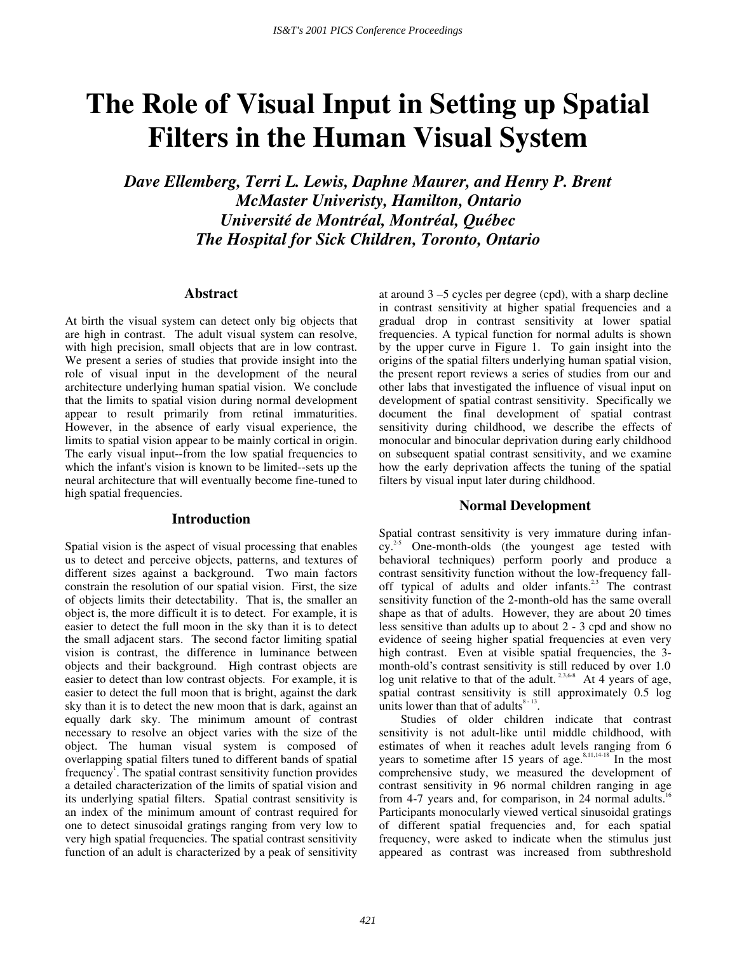# **The Role of Visual Input in Setting up Spatial Filters in the Human Visual System**

*Dave Ellemberg, Terri L. Lewis, Daphne Maurer, and Henry P. Brent McMaster Univeristy, Hamilton, Ontario Université de Montréal, Montréal, Québec The Hospital for Sick Children, Toronto, Ontario* 

# **Abstract**

At birth the visual system can detect only big objects that are high in contrast. The adult visual system can resolve, with high precision, small objects that are in low contrast. We present a series of studies that provide insight into the role of visual input in the development of the neural architecture underlying human spatial vision. We conclude that the limits to spatial vision during normal development appear to result primarily from retinal immaturities. However, in the absence of early visual experience, the limits to spatial vision appear to be mainly cortical in origin. The early visual input--from the low spatial frequencies to which the infant's vision is known to be limited--sets up the neural architecture that will eventually become fine-tuned to high spatial frequencies.

## **Introduction**

Spatial vision is the aspect of visual processing that enables us to detect and perceive objects, patterns, and textures of different sizes against a background. Two main factors constrain the resolution of our spatial vision. First, the size of objects limits their detectability. That is, the smaller an object is, the more difficult it is to detect. For example, it is easier to detect the full moon in the sky than it is to detect the small adjacent stars. The second factor limiting spatial vision is contrast, the difference in luminance between objects and their background. High contrast objects are easier to detect than low contrast objects. For example, it is easier to detect the full moon that is bright, against the dark sky than it is to detect the new moon that is dark, against an equally dark sky. The minimum amount of contrast necessary to resolve an object varies with the size of the object. The human visual system is composed of overlapping spatial filters tuned to different bands of spatial frequency<sup>1</sup>. The spatial contrast sensitivity function provides a detailed characterization of the limits of spatial vision and its underlying spatial filters. Spatial contrast sensitivity is an index of the minimum amount of contrast required for one to detect sinusoidal gratings ranging from very low to very high spatial frequencies. The spatial contrast sensitivity function of an adult is characterized by a peak of sensitivity

at around  $3 - 5$  cycles per degree (cpd), with a sharp decline in contrast sensitivity at higher spatial frequencies and a gradual drop in contrast sensitivity at lower spatial frequencies. A typical function for normal adults is shown by the upper curve in Figure 1. To gain insight into the origins of the spatial filters underlying human spatial vision, the present report reviews a series of studies from our and other labs that investigated the influence of visual input on development of spatial contrast sensitivity. Specifically we document the final development of spatial contrast sensitivity during childhood, we describe the effects of monocular and binocular deprivation during early childhood on subsequent spatial contrast sensitivity, and we examine how the early deprivation affects the tuning of the spatial filters by visual input later during childhood.

# **Normal Development**

Spatial contrast sensitivity is very immature during infancy.<sup>2-5</sup> One-month-olds (the youngest age tested with behavioral techniques) perform poorly and produce a contrast sensitivity function without the low-frequency falloff typical of adults and older infants.<sup>2,3</sup> The contrast sensitivity function of the 2-month-old has the same overall shape as that of adults. However, they are about 20 times less sensitive than adults up to about 2 - 3 cpd and show no evidence of seeing higher spatial frequencies at even very high contrast. Even at visible spatial frequencies, the 3month-old's contrast sensitivity is still reduced by over 1.0 log unit relative to that of the adult.<sup>2,3,6-8</sup> At 4 years of age, spatial contrast sensitivity is still approximately 0.5 log units lower than that of adults $8-13$ .

Studies of older children indicate that contrast sensitivity is not adult-like until middle childhood, with estimates of when it reaches adult levels ranging from 6 years to sometime after 15 years of age. $8,11,14-18$  In the most comprehensive study, we measured the development of contrast sensitivity in 96 normal children ranging in age from 4-7 years and, for comparison, in 24 normal adults. $16$ Participants monocularly viewed vertical sinusoidal gratings of different spatial frequencies and, for each spatial frequency, were asked to indicate when the stimulus just appeared as contrast was increased from subthreshold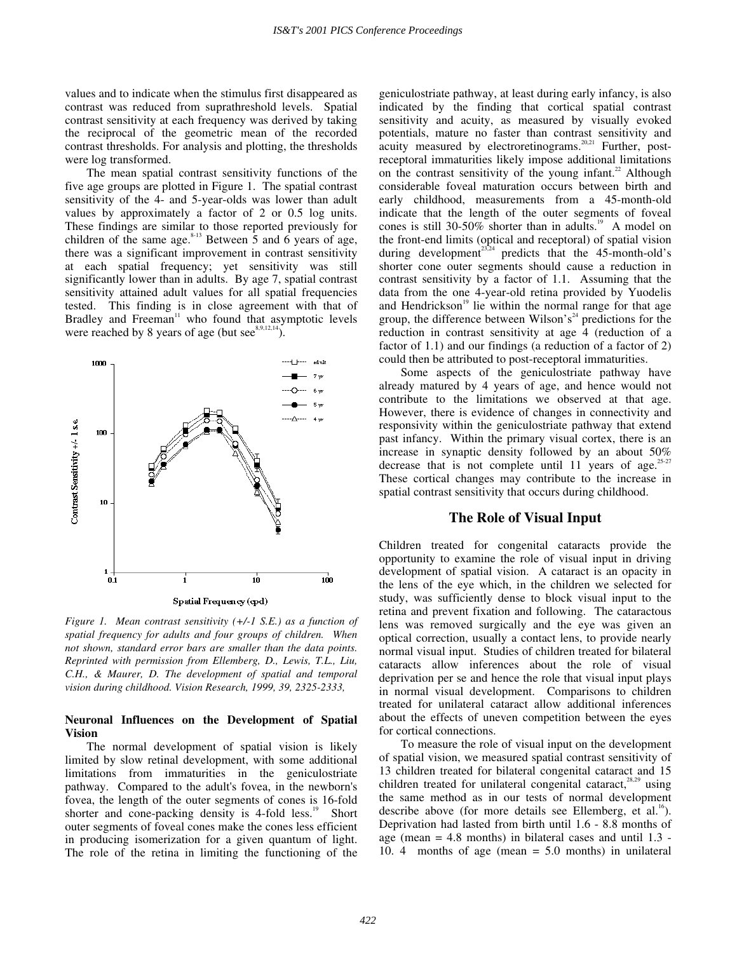values and to indicate when the stimulus first disappeared as contrast was reduced from suprathreshold levels. Spatial contrast sensitivity at each frequency was derived by taking the reciprocal of the geometric mean of the recorded contrast thresholds. For analysis and plotting, the thresholds were log transformed.

The mean spatial contrast sensitivity functions of the five age groups are plotted in Figure 1. The spatial contrast sensitivity of the 4- and 5-year-olds was lower than adult values by approximately a factor of 2 or 0.5 log units. These findings are similar to those reported previously for children of the same age.<sup>8-13</sup> Between  $\overline{5}$  and  $\overline{6}$  years of age, there was a significant improvement in contrast sensitivity at each spatial frequency; yet sensitivity was still significantly lower than in adults. By age 7, spatial contrast sensitivity attained adult values for all spatial frequencies tested. This finding is in close agreement with that of Bradley and Freeman<sup>11</sup> who found that asymptotic levels were reached by 8 years of age (but  $\sec^{8.9,12,14}$ ).



*Figure 1. Mean contrast sensitivity (+/-1 S.E.) as a function of spatial frequency for adults and four groups of children. When not shown, standard error bars are smaller than the data points. Reprinted with permission from Ellemberg, D., Lewis, T.L., Liu, C.H., & Maurer, D. The development of spatial and temporal vision during childhood. Vision Research, 1999, 39, 2325-2333,* 

## **Neuronal Influences on the Development of Spatial Vision**

The normal development of spatial vision is likely limited by slow retinal development, with some additional limitations from immaturities in the geniculostriate pathway. Compared to the adult's fovea, in the newborn's fovea, the length of the outer segments of cones is 16-fold shorter and cone-packing density is  $4$ -fold less.<sup>19</sup> Short outer segments of foveal cones make the cones less efficient in producing isomerization for a given quantum of light. The role of the retina in limiting the functioning of the geniculostriate pathway, at least during early infancy, is also indicated by the finding that cortical spatial contrast sensitivity and acuity, as measured by visually evoked potentials, mature no faster than contrast sensitivity and acuity measured by electroretinograms.<sup>20,21</sup> Further, postreceptoral immaturities likely impose additional limitations on the contrast sensitivity of the young infant.<sup>22</sup> Although considerable foveal maturation occurs between birth and early childhood, measurements from a 45-month-old indicate that the length of the outer segments of foveal cones is still 30-50% shorter than in adults.<sup>19</sup> A model on the front-end limits (optical and receptoral) of spatial vision during development $e^{23.24}$  predicts that the 45-month-old's shorter cone outer segments should cause a reduction in contrast sensitivity by a factor of 1.1. Assuming that the data from the one 4-year-old retina provided by Yuodelis and Hendrickson $19$  lie within the normal range for that age group, the difference between Wilson's<sup>24</sup> predictions for the reduction in contrast sensitivity at age 4 (reduction of a factor of 1.1) and our findings (a reduction of a factor of 2) could then be attributed to post-receptoral immaturities.

Some aspects of the geniculostriate pathway have already matured by 4 years of age, and hence would not contribute to the limitations we observed at that age. However, there is evidence of changes in connectivity and responsivity within the geniculostriate pathway that extend past infancy. Within the primary visual cortex, there is an increase in synaptic density followed by an about 50% decrease that is not complete until 11 years of age.<sup>25-27</sup> These cortical changes may contribute to the increase in spatial contrast sensitivity that occurs during childhood.

# **The Role of Visual Input**

Children treated for congenital cataracts provide the opportunity to examine the role of visual input in driving development of spatial vision. A cataract is an opacity in the lens of the eye which, in the children we selected for study, was sufficiently dense to block visual input to the retina and prevent fixation and following. The cataractous lens was removed surgically and the eye was given an optical correction, usually a contact lens, to provide nearly normal visual input. Studies of children treated for bilateral cataracts allow inferences about the role of visual deprivation per se and hence the role that visual input plays in normal visual development. Comparisons to children treated for unilateral cataract allow additional inferences about the effects of uneven competition between the eyes for cortical connections.

To measure the role of visual input on the development of spatial vision, we measured spatial contrast sensitivity of 13 children treated for bilateral congenital cataract and 15 children treated for unilateral congenital cataract, $28.29$  using the same method as in our tests of normal development describe above (for more details see Ellemberg, et al.<sup>16</sup>). Deprivation had lasted from birth until 1.6 - 8.8 months of age (mean  $= 4.8$  months) in bilateral cases and until 1.3 -10. 4 months of age (mean = 5.0 months) in unilateral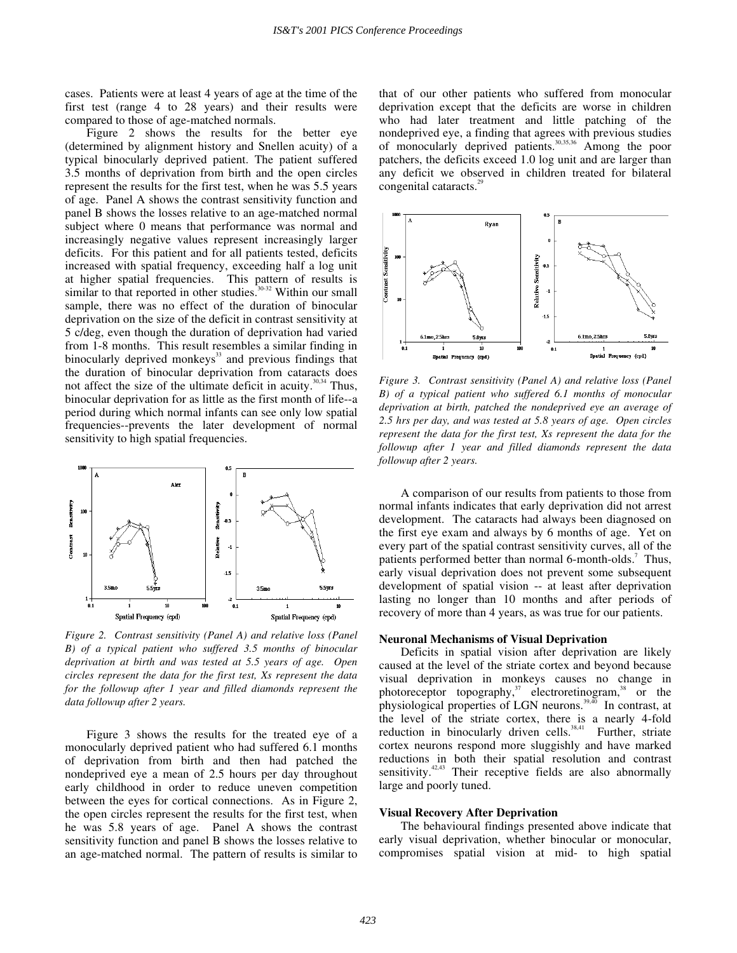cases. Patients were at least 4 years of age at the time of the first test (range 4 to 28 years) and their results were compared to those of age-matched normals.

Figure 2 shows the results for the better eye (determined by alignment history and Snellen acuity) of a typical binocularly deprived patient. The patient suffered 3.5 months of deprivation from birth and the open circles represent the results for the first test, when he was 5.5 years of age. Panel A shows the contrast sensitivity function and panel B shows the losses relative to an age-matched normal subject where 0 means that performance was normal and increasingly negative values represent increasingly larger deficits. For this patient and for all patients tested, deficits increased with spatial frequency, exceeding half a log unit at higher spatial frequencies. This pattern of results is similar to that reported in other studies.<sup>30-32</sup> Within our small sample, there was no effect of the duration of binocular deprivation on the size of the deficit in contrast sensitivity at 5 c/deg, even though the duration of deprivation had varied from 1-8 months. This result resembles a similar finding in binocularly deprived monkeys<sup>33</sup> and previous findings that the duration of binocular deprivation from cataracts does not affect the size of the ultimate deficit in acuity.<sup>30,34</sup> Thus, binocular deprivation for as little as the first month of life--a period during which normal infants can see only low spatial frequencies--prevents the later development of normal sensitivity to high spatial frequencies.



*Figure 2. Contrast sensitivity (Panel A) and relative loss (Panel B) of a typical patient who suffered 3.5 months of binocular deprivation at birth and was tested at 5.5 years of age. Open circles represent the data for the first test, Xs represent the data*  for the followup after 1 year and filled diamonds represent the *data followup after 2 years.* 

Figure 3 shows the results for the treated eye of a monocularly deprived patient who had suffered 6.1 months of deprivation from birth and then had patched the nondeprived eye a mean of 2.5 hours per day throughout early childhood in order to reduce uneven competition between the eyes for cortical connections. As in Figure 2, the open circles represent the results for the first test, when he was 5.8 years of age. Panel A shows the contrast sensitivity function and panel B shows the losses relative to an age-matched normal. The pattern of results is similar to that of our other patients who suffered from monocular deprivation except that the deficits are worse in children who had later treatment and little patching of the nondeprived eye, a finding that agrees with previous studies of monocularly deprived patients.<sup>30,35,36</sup> Among the poor patchers, the deficits exceed 1.0 log unit and are larger than any deficit we observed in children treated for bilateral congenital cataracts.<sup>29</sup>



*Figure 3. Contrast sensitivity (Panel A) and relative loss (Panel B) of a typical patient who suffered 6.1 months of monocular deprivation at birth, patched the nondeprived eye an average of 2.5 hrs per day, and was tested at 5.8 years of age. Open circles represent the data for the first test, Xs represent the data for the followup after 1 year and filled diamonds represent the data followup after 2 years.* 

A comparison of our results from patients to those from normal infants indicates that early deprivation did not arrest development. The cataracts had always been diagnosed on the first eye exam and always by 6 months of age. Yet on every part of the spatial contrast sensitivity curves, all of the patients performed better than normal 6-month-olds.<sup>7</sup> Thus, early visual deprivation does not prevent some subsequent development of spatial vision -- at least after deprivation lasting no longer than 10 months and after periods of recovery of more than 4 years, as was true for our patients.

#### **Neuronal Mechanisms of Visual Deprivation**

Deficits in spatial vision after deprivation are likely caused at the level of the striate cortex and beyond because visual deprivation in monkeys causes no change in photoreceptor topography,<sup>37</sup> electroretinogram,<sup>38</sup> or the physiological properties of LGN neurons.<sup>39,40</sup> In contrast, at the level of the striate cortex, there is a nearly 4-fold reduction in binocularly driven cells.<sup>38,41</sup> Further, striate cortex neurons respond more sluggishly and have marked reductions in both their spatial resolution and contrast sensitivity.<sup>42,43</sup> Their receptive fields are also abnormally large and poorly tuned.

#### **Visual Recovery After Deprivation**

The behavioural findings presented above indicate that early visual deprivation, whether binocular or monocular, compromises spatial vision at mid- to high spatial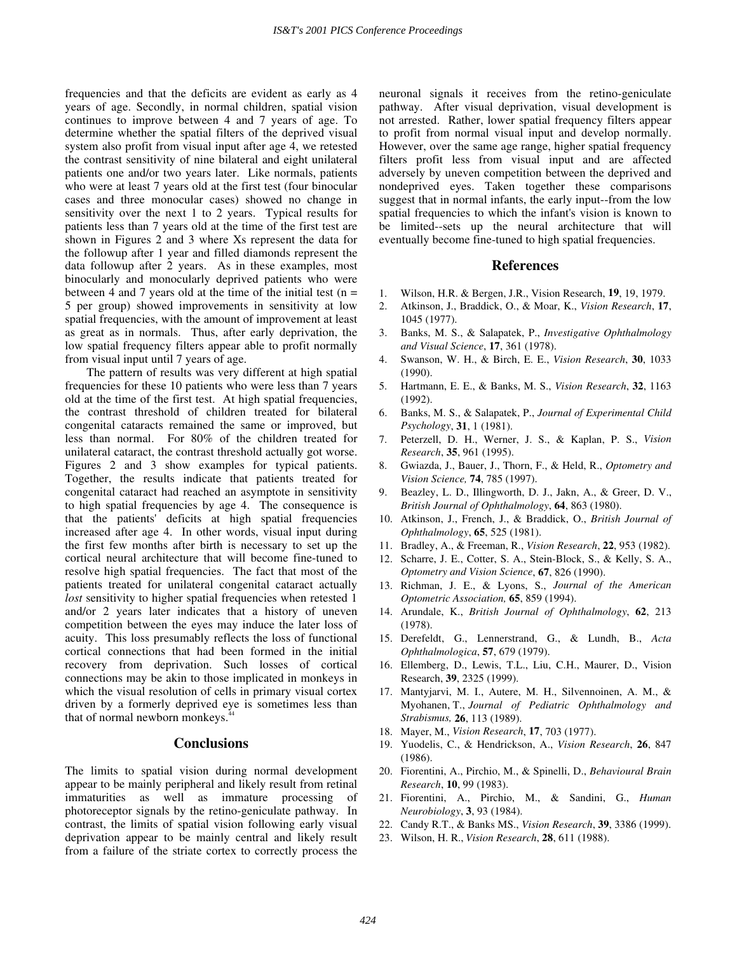frequencies and that the deficits are evident as early as 4 years of age. Secondly, in normal children, spatial vision continues to improve between 4 and 7 years of age. To determine whether the spatial filters of the deprived visual system also profit from visual input after age 4, we retested the contrast sensitivity of nine bilateral and eight unilateral patients one and/or two years later. Like normals, patients who were at least 7 years old at the first test (four binocular cases and three monocular cases) showed no change in sensitivity over the next 1 to 2 years. Typical results for patients less than 7 years old at the time of the first test are shown in Figures 2 and 3 where Xs represent the data for the followup after 1 year and filled diamonds represent the data followup after 2 years. As in these examples, most binocularly and monocularly deprived patients who were between 4 and 7 years old at the time of the initial test  $(n =$ 5 per group) showed improvements in sensitivity at low spatial frequencies, with the amount of improvement at least as great as in normals. Thus, after early deprivation, the low spatial frequency filters appear able to profit normally from visual input until 7 years of age.

The pattern of results was very different at high spatial frequencies for these 10 patients who were less than 7 years old at the time of the first test. At high spatial frequencies, the contrast threshold of children treated for bilateral congenital cataracts remained the same or improved, but less than normal. For 80% of the children treated for unilateral cataract, the contrast threshold actually got worse. Figures 2 and 3 show examples for typical patients. Together, the results indicate that patients treated for congenital cataract had reached an asymptote in sensitivity to high spatial frequencies by age 4. The consequence is that the patients' deficits at high spatial frequencies increased after age 4. In other words, visual input during the first few months after birth is necessary to set up the cortical neural architecture that will become fine-tuned to resolve high spatial frequencies. The fact that most of the patients treated for unilateral congenital cataract actually *lost* sensitivity to higher spatial frequencies when retested 1 and/or 2 years later indicates that a history of uneven competition between the eyes may induce the later loss of acuity. This loss presumably reflects the loss of functional cortical connections that had been formed in the initial recovery from deprivation. Such losses of cortical connections may be akin to those implicated in monkeys in which the visual resolution of cells in primary visual cortex driven by a formerly deprived eye is sometimes less than that of normal newborn monkeys.<sup>4</sup>

## **Conclusions**

The limits to spatial vision during normal development appear to be mainly peripheral and likely result from retinal immaturities as well as immature processing of photoreceptor signals by the retino-geniculate pathway. In contrast, the limits of spatial vision following early visual deprivation appear to be mainly central and likely result from a failure of the striate cortex to correctly process the

neuronal signals it receives from the retino-geniculate pathway. After visual deprivation, visual development is not arrested. Rather, lower spatial frequency filters appear to profit from normal visual input and develop normally. However, over the same age range, higher spatial frequency filters profit less from visual input and are affected adversely by uneven competition between the deprived and nondeprived eyes. Taken together these comparisons suggest that in normal infants, the early input--from the low spatial frequencies to which the infant's vision is known to be limited--sets up the neural architecture that will eventually become fine-tuned to high spatial frequencies.

## **References**

- 1. Wilson, H.R. & Bergen, J.R., Vision Research, **19**, 19, 1979.
- 2. Atkinson, J., Braddick, O., & Moar, K., *Vision Research*, **17**, 1045 (1977).
- 3. Banks, M. S., & Salapatek, P., *Investigative Ophthalmology and Visual Science*, **17**, 361 (1978).
- 4. Swanson, W. H., & Birch, E. E., *Vision Research*, **30**, 1033 (1990).
- 5. Hartmann, E. E., & Banks, M. S., *Vision Research*, **32**, 1163 (1992).
- 6. Banks, M. S., & Salapatek, P., *Journal of Experimental Child Psychology*, **31**, 1 (1981).
- 7. Peterzell, D. H., Werner, J. S., & Kaplan, P. S., *Vision Research*, **35**, 961 (1995).
- 8. Gwiazda, J., Bauer, J., Thorn, F., & Held, R., *Optometry and Vision Science,* **74**, 785 (1997).
- 9. Beazley, L. D., Illingworth, D. J., Jakn, A., & Greer, D. V., *British Journal of Ophthalmology*, **64**, 863 (1980).
- 10. Atkinson, J., French, J., & Braddick, O., *British Journal of Ophthalmology*, **65**, 525 (1981).
- 11. Bradley, A., & Freeman, R., *Vision Research*, **22**, 953 (1982).
- 12. Scharre, J. E., Cotter, S. A., Stein-Block, S., & Kelly, S. A., *Optometry and Vision Science*, **67**, 826 (1990).
- 13. Richman, J. E., & Lyons, S., *Journal of the American Optometric Association,* **65**, 859 (1994).
- 14. Arundale, K., *British Journal of Ophthalmology*, **62**, 213 (1978).
- 15. Derefeldt, G., Lennerstrand, G., & Lundh, B., *Acta Ophthalmologica*, **57**, 679 (1979).
- 16. Ellemberg, D., Lewis, T.L., Liu, C.H., Maurer, D., Vision Research, **39**, 2325 (1999).
- 17. Mantyjarvi, M. I., Autere, M. H., Silvennoinen, A. M., & Myohanen, T., *Journal of Pediatric Ophthalmology and Strabismus,* **26**, 113 (1989).
- 18. Mayer, M., *Vision Research*, **17**, 703 (1977).
- 19. Yuodelis, C., & Hendrickson, A., *Vision Research*, **26**, 847 (1986).
- 20. Fiorentini, A., Pirchio, M., & Spinelli, D., *Behavioural Brain Research*, **10**, 99 (1983).
- 21. Fiorentini, A., Pirchio, M., & Sandini, G., *Human Neurobiology*, **3**, 93 (1984).
- 22. Candy R.T., & Banks MS., *Vision Research*, **39**, 3386 (1999).
- 23. Wilson, H. R., *Vision Research*, **28**, 611 (1988).